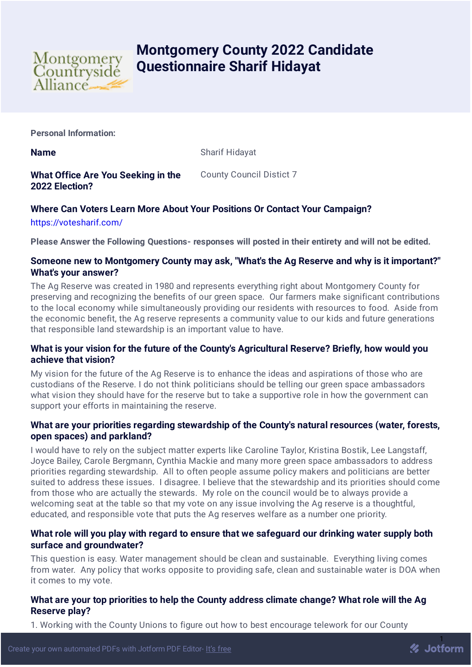

# **Montgomery County 2022 Candidate Questionnaire Sharif Hidayat**

**Personal Information:**

**Name** Sharif Hidayat

**What Office Are You Seeking in the 2022 Election?** County Council Distict 7

# **Where Can Voters Learn More About Your Positions Or Contact Your Campaign?**

<https://votesharif.com/>

**Please Answer the Following Questions- responses will posted in their entirety and will not be edited.**

# **Someone new to Montgomery County may ask, "What's the Ag Reserve and why is it important?" What's your answer?**

The Ag Reserve was created in 1980 and represents everything right about Montgomery County for preserving and recognizing the benefits of our green space. Our farmers make significant contributions to the local economy while simultaneously providing our residents with resources to food. Aside from the economic benefit, the Ag reserve represents a community value to our kids and future generations that responsible land stewardship is an important value to have.

# **What is your vision for the future of the County's Agricultural Reserve? Briefly, how would you achieve that vision?**

My vision for the future of the Ag Reserve is to enhance the ideas and aspirations of those who are custodians of the Reserve. I do not think politicians should be telling our green space ambassadors what vision they should have for the reserve but to take a supportive role in how the government can support your efforts in maintaining the reserve.

# **What are your priorities regarding stewardship of the County's natural resources (water, forests, open spaces) and parkland?**

I would have to rely on the subject matter experts like Caroline Taylor, Kristina Bostik, Lee Langstaff, Joyce Bailey, Carole Bergmann, Cynthia Mackie and many more green space ambassadors to address priorities regarding stewardship. All to often people assume policy makers and politicians are better suited to address these issues. I disagree. I believe that the stewardship and its priorities should come from those who are actually the stewards. My role on the council would be to always provide a welcoming seat at the table so that my vote on any issue involving the Ag reserve is a thoughtful, educated, and responsible vote that puts the Ag reserves welfare as a number one priority.

# **What role will you play with regard to ensure that we safeguard our drinking water supply both surface and groundwater?**

This question is easy. Water management should be clean and sustainable. Everything living comes from water. Any policy that works opposite to providing safe, clean and sustainable water is DOA when it comes to my vote.

# **What are your top priorities to help the County address climate change? What role will the Ag Reserve play?**

**2** Jotform

1. Working with the County Unions to figure out how to best encourage telework for our County